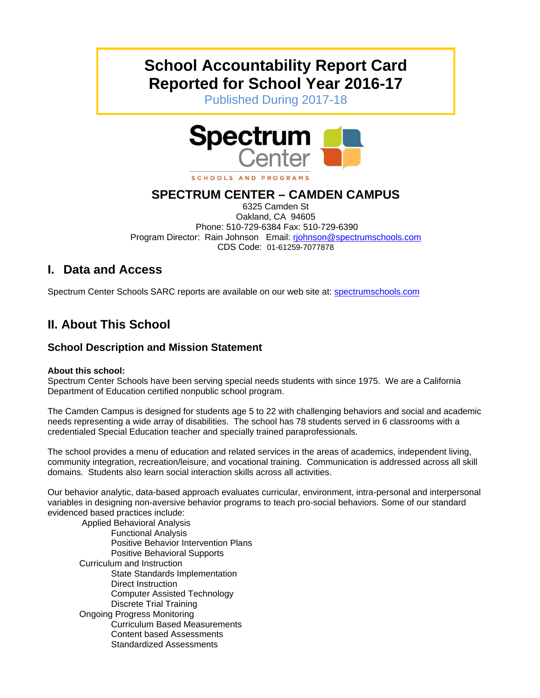# **School Accountability Report Card Reported for School Year 2016-17**

Published During 2017-18



SCHOOLS AND PROGRAMS

## **SPECTRUM CENTER – CAMDEN CAMPUS**

6325 Camden St Oakland, CA 94605 Phone: 510-729-6384 Fax: 510-729-6390 Program Director: Rain Johnson Email: rjohnson@spectrumschools.com CDS Code: 01-61259-7077878

## **I. Data and Access**

Spectrum Center Schools SARC reports are available on our web site at: spectrumschools.com

## **II. About This School**

## **School Description and Mission Statement**

#### **About this school:**

Spectrum Center Schools have been serving special needs students with since 1975. We are a California Department of Education certified nonpublic school program.

The Camden Campus is designed for students age 5 to 22 with challenging behaviors and social and academic needs representing a wide array of disabilities. The school has 78 students served in 6 classrooms with a credentialed Special Education teacher and specially trained paraprofessionals.

The school provides a menu of education and related services in the areas of academics, independent living, community integration, recreation/leisure, and vocational training. Communication is addressed across all skill domains. Students also learn social interaction skills across all activities.

Our behavior analytic, data-based approach evaluates curricular, environment, intra-personal and interpersonal variables in designing non-aversive behavior programs to teach pro-social behaviors. Some of our standard evidenced based practices include:

 Applied Behavioral Analysis Functional Analysis Positive Behavior Intervention Plans Positive Behavioral Supports Curriculum and Instruction State Standards Implementation Direct Instruction Computer Assisted Technology Discrete Trial Training Ongoing Progress Monitoring Curriculum Based Measurements Content based Assessments Standardized Assessments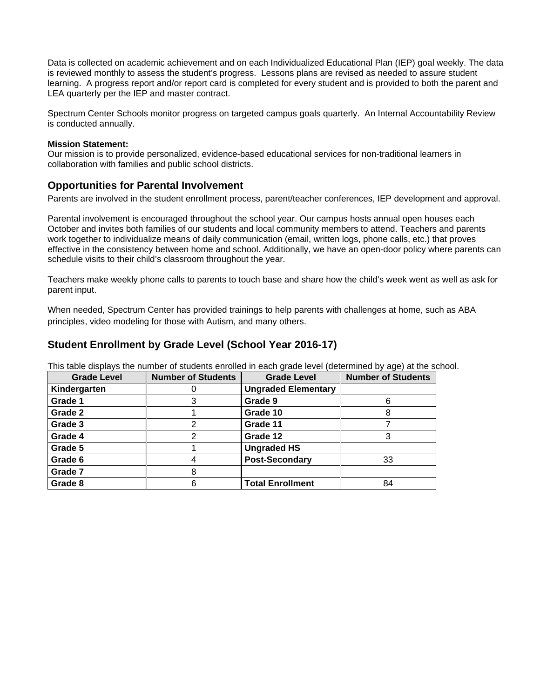is reviewed monthly to assess the student's progress. Lessons plans are revised as needed to assure student Data is collected on academic achievement and on each Individualized Educational Plan (IEP) goal weekly. The data learning. A progress report and/or report card is completed for every student and is provided to both the parent and LEA quarterly per the IEP and master contract.

Spectrum Center Schools monitor progress on targeted campus goals quarterly. An Internal Accountability Review is conducted annually.

#### **Mission Statement:**

Our mission is to provide personalized, evidence-based educational services for non-traditional learners in collaboration with families and public school districts.

#### **Opportunities for Parental Involvement**

Parents are involved in the student enrollment process, parent/teacher conferences, IEP development and approval.

Parental involvement is encouraged throughout the school year. Our campus hosts annual open houses each October and invites both families of our students and local community members to attend. Teachers and parents work together to individualize means of daily communication (email, written logs, phone calls, etc.) that proves effective in the consistency between home and school. Additionally, we have an open-door policy where parents can schedule visits to their child's classroom throughout the year.

Teachers make weekly phone calls to parents to touch base and share how the child's week went as well as ask for parent input.

 principles, video modeling for those with Autism, and many others. When needed, Spectrum Center has provided trainings to help parents with challenges at home, such as ABA

#### **Student Enrollment by Grade Level (School Year 2016-17)**

This table displays the number of students enrolled in each grade level (determined by age) at the school.

| <b>Grade Level</b> | <b>Number of Students</b> | <b>Grade Level</b>         | <b>Number of Students</b> |
|--------------------|---------------------------|----------------------------|---------------------------|
| Kindergarten       |                           | <b>Ungraded Elementary</b> |                           |
| Grade 1            |                           | Grade 9                    |                           |
| Grade 2            |                           | Grade 10                   |                           |
| Grade 3            | 2                         | Grade 11                   |                           |
| Grade 4            | 2                         | Grade 12                   |                           |
| Grade 5            |                           | <b>Ungraded HS</b>         |                           |
| Grade 6            | 4                         | <b>Post-Secondary</b>      | 33                        |
| Grade 7            | 8                         |                            |                           |
| Grade 8            | 6                         | <b>Total Enrollment</b>    | 84                        |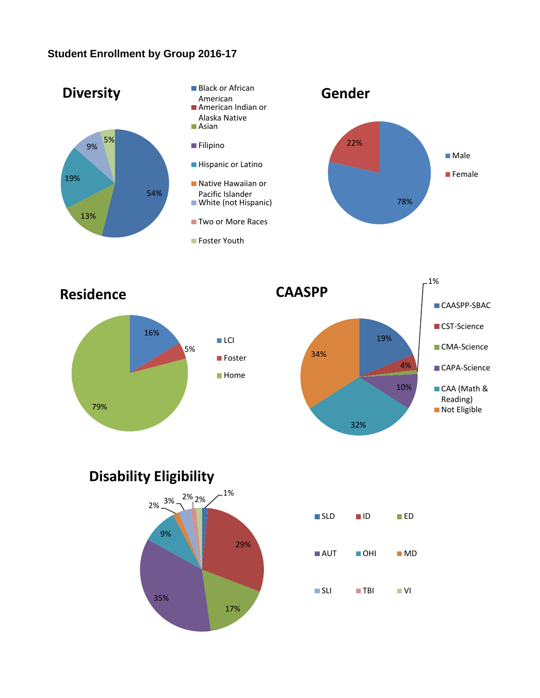## **Student Enrollment by Group 2016-17**



**Disability Eligibility**

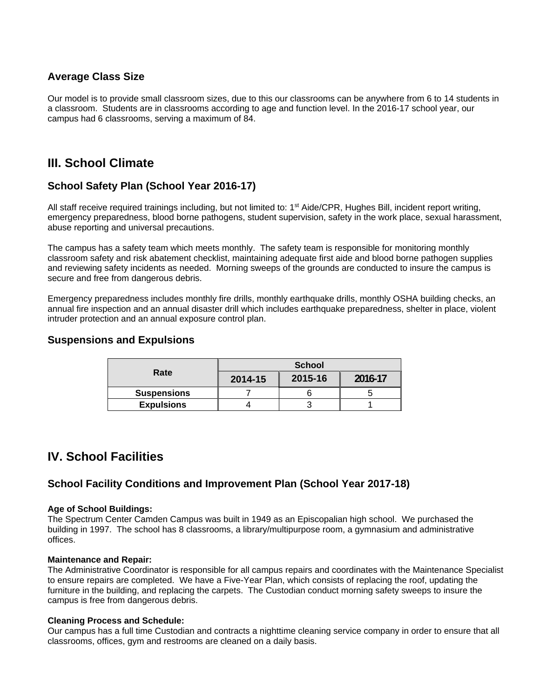### **Average Class Size**

Our model is to provide small classroom sizes, due to this our classrooms can be anywhere from 6 to 14 students in a classroom. Students are in classrooms according to age and function level. In the 2016-17 school year, our campus had 6 classrooms, serving a maximum of 84.

## **III. School Climate**

## **School Safety Plan (School Year 2016-17)**

All staff receive required trainings including, but not limited to:  $1<sup>st</sup>$  Aide/CPR, Hughes Bill, incident report writing, emergency preparedness, blood borne pathogens, student supervision, safety in the work place, sexual harassment, abuse reporting and universal precautions.

The campus has a safety team which meets monthly. The safety team is responsible for monitoring monthly classroom safety and risk abatement checklist, maintaining adequate first aide and blood borne pathogen supplies and reviewing safety incidents as needed. Morning sweeps of the grounds are conducted to insure the campus is secure and free from dangerous debris.

Emergency preparedness includes monthly fire drills, monthly earthquake drills, monthly OSHA building checks, an annual fire inspection and an annual disaster drill which includes earthquake preparedness, shelter in place, violent intruder protection and an annual exposure control plan.

#### **Suspensions and Expulsions**

|                    | <b>School</b> |         |         |  |
|--------------------|---------------|---------|---------|--|
| Rate               | 2014-15       | 2015-16 | 2016-17 |  |
| <b>Suspensions</b> |               |         |         |  |
| <b>Expulsions</b>  |               |         |         |  |

## **IV. School Facilities**

## **School Facility Conditions and Improvement Plan (School Year 2017-18)**

#### **Age of School Buildings:**

The Spectrum Center Camden Campus was built in 1949 as an Episcopalian high school. We purchased the building in 1997. The school has 8 classrooms, a library/multipurpose room, a gymnasium and administrative offices.

#### **Maintenance and Repair:**

The Administrative Coordinator is responsible for all campus repairs and coordinates with the Maintenance Specialist to ensure repairs are completed. We have a Five-Year Plan, which consists of replacing the roof, updating the furniture in the building, and replacing the carpets. The Custodian conduct morning safety sweeps to insure the campus is free from dangerous debris.

#### **Cleaning Process and Schedule:**

Our campus has a full time Custodian and contracts a nighttime cleaning service company in order to ensure that all classrooms, offices, gym and restrooms are cleaned on a daily basis.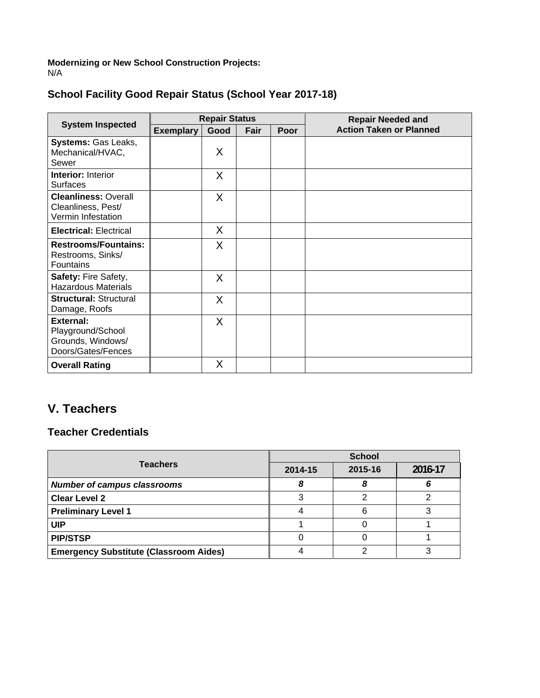**Modernizing or New School Construction Projects:** N/A

| <b>System Inspected</b>                                                          | <b>Repair Status</b> |      |      |      | <b>Repair Needed and</b>       |
|----------------------------------------------------------------------------------|----------------------|------|------|------|--------------------------------|
|                                                                                  | <b>Exemplary</b>     | Good | Fair | Poor | <b>Action Taken or Planned</b> |
| Systems: Gas Leaks,<br>Mechanical/HVAC,<br>Sewer                                 |                      | Χ    |      |      |                                |
| <b>Interior: Interior</b><br><b>Surfaces</b>                                     |                      | X    |      |      |                                |
| <b>Cleanliness: Overall</b><br>Cleanliness, Pest/<br>Vermin Infestation          |                      | X    |      |      |                                |
| <b>Electrical: Electrical</b>                                                    |                      | X    |      |      |                                |
| <b>Restrooms/Fountains:</b><br>Restrooms, Sinks/<br>Fountains                    |                      | Χ    |      |      |                                |
| Safety: Fire Safety,<br><b>Hazardous Materials</b>                               |                      | X    |      |      |                                |
| <b>Structural: Structural</b><br>Damage, Roofs                                   |                      | X    |      |      |                                |
| <b>External:</b><br>Playground/School<br>Grounds, Windows/<br>Doors/Gates/Fences |                      | Χ    |      |      |                                |
| <b>Overall Rating</b>                                                            |                      | Χ    |      |      |                                |

## **V. Teachers**

## **Teacher Credentials**

|                                               | <b>School</b> |         |         |  |
|-----------------------------------------------|---------------|---------|---------|--|
| <b>Teachers</b>                               | 2014-15       | 2015-16 | 2016-17 |  |
| <b>Number of campus classrooms</b>            | 8             |         |         |  |
| <b>Clear Level 2</b>                          | ົ             |         |         |  |
| <b>Preliminary Level 1</b>                    |               | 6       |         |  |
| <b>UIP</b>                                    |               |         |         |  |
| <b>PIP/STSP</b>                               |               |         |         |  |
| <b>Emergency Substitute (Classroom Aides)</b> |               | ⌒       |         |  |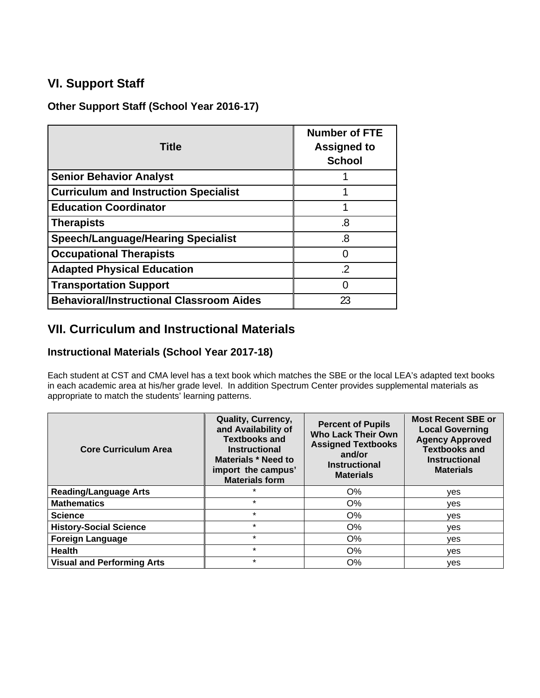## **VI. Support Staff**

## **Other Support Staff (School Year 2016-17)**

| <b>Title</b>                                    | <b>Number of FTE</b><br><b>Assigned to</b><br><b>School</b> |
|-------------------------------------------------|-------------------------------------------------------------|
| <b>Senior Behavior Analyst</b>                  |                                                             |
| <b>Curriculum and Instruction Specialist</b>    |                                                             |
| <b>Education Coordinator</b>                    |                                                             |
| <b>Therapists</b>                               | .8                                                          |
| <b>Speech/Language/Hearing Specialist</b>       | .8                                                          |
| <b>Occupational Therapists</b>                  | N                                                           |
| <b>Adapted Physical Education</b>               | 2                                                           |
| <b>Transportation Support</b>                   | N                                                           |
| <b>Behavioral/Instructional Classroom Aides</b> | 23                                                          |

## **VII. Curriculum and Instructional Materials**

## **Instructional Materials (School Year 2017-18)**

Each student at CST and CMA level has a text book which matches the SBE or the local LEA's adapted text books in each academic area at his/her grade level. In addition Spectrum Center provides supplemental materials as appropriate to match the students' learning patterns.

| <b>Core Curriculum Area</b>       | <b>Quality, Currency,</b><br>and Availability of<br><b>Textbooks and</b><br><b>Instructional</b><br><b>Materials * Need to</b><br>import the campus'<br><b>Materials form</b> | <b>Percent of Pupils</b><br><b>Who Lack Their Own</b><br><b>Assigned Textbooks</b><br>and/or<br><b>Instructional</b><br><b>Materials</b> | <b>Most Recent SBE or</b><br><b>Local Governing</b><br><b>Agency Approved</b><br><b>Textbooks and</b><br><b>Instructional</b><br><b>Materials</b> |
|-----------------------------------|-------------------------------------------------------------------------------------------------------------------------------------------------------------------------------|------------------------------------------------------------------------------------------------------------------------------------------|---------------------------------------------------------------------------------------------------------------------------------------------------|
| <b>Reading/Language Arts</b>      | $\star$                                                                                                                                                                       | $O\%$                                                                                                                                    | yes                                                                                                                                               |
| <b>Mathematics</b>                | $\star$                                                                                                                                                                       | $O\%$                                                                                                                                    | ves                                                                                                                                               |
| <b>Science</b>                    | $\star$                                                                                                                                                                       | O%                                                                                                                                       | ves                                                                                                                                               |
| <b>History-Social Science</b>     | $\star$                                                                                                                                                                       | O%                                                                                                                                       | ves                                                                                                                                               |
| <b>Foreign Language</b>           | $\star$                                                                                                                                                                       | O%                                                                                                                                       | yes                                                                                                                                               |
| <b>Health</b>                     | $\star$                                                                                                                                                                       | O%                                                                                                                                       | yes                                                                                                                                               |
| <b>Visual and Performing Arts</b> | $\star$                                                                                                                                                                       | O%                                                                                                                                       | yes                                                                                                                                               |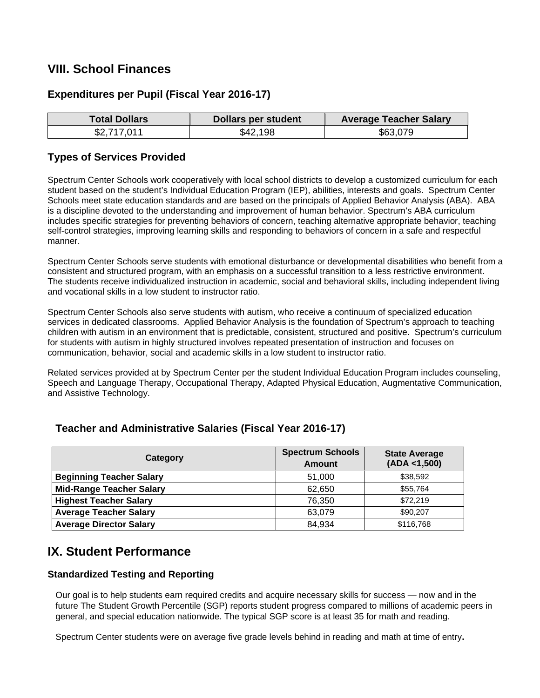## **VIII. School Finances**

## **Expenditures per Pupil (Fiscal Year 2016-17)**

| <b>Total Dollars</b> | <b>Dollars per student</b> | <b>Average Teacher Salary</b> |
|----------------------|----------------------------|-------------------------------|
| \$2,717,011          | \$42,198                   | \$63,079                      |

#### **Types of Services Provided**

Spectrum Center Schools work cooperatively with local school districts to develop a customized curriculum for each student based on the student's Individual Education Program (IEP), abilities, interests and goals. Spectrum Center Schools meet state education standards and are based on the principals of Applied Behavior Analysis (ABA). ABA is a discipline devoted to the understanding and improvement of human behavior. Spectrum's ABA curriculum includes specific strategies for preventing behaviors of concern, teaching alternative appropriate behavior, teaching self-control strategies, improving learning skills and responding to behaviors of concern in a safe and respectful manner.

Spectrum Center Schools serve students with emotional disturbance or developmental disabilities who benefit from a consistent and structured program, with an emphasis on a successful transition to a less restrictive environment. The students receive individualized instruction in academic, social and behavioral skills, including independent living and vocational skills in a low student to instructor ratio.

Spectrum Center Schools also serve students with autism, who receive a continuum of specialized education services in dedicated classrooms. Applied Behavior Analysis is the foundation of Spectrum's approach to teaching children with autism in an environment that is predictable, consistent, structured and positive. Spectrum's curriculum for students with autism in highly structured involves repeated presentation of instruction and focuses on communication, behavior, social and academic skills in a low student to instructor ratio.

Related services provided at by Spectrum Center per the student Individual Education Program includes counseling, Speech and Language Therapy, Occupational Therapy, Adapted Physical Education, Augmentative Communication, and Assistive Technology.

## **Teacher and Administrative Salaries (Fiscal Year 2016-17)**

| Category                        | <b>Spectrum Schools</b><br><b>Amount</b> | <b>State Average</b><br>(ADA < 1,500) |
|---------------------------------|------------------------------------------|---------------------------------------|
| <b>Beginning Teacher Salary</b> | 51,000                                   | \$38,592                              |
| <b>Mid-Range Teacher Salary</b> | 62,650                                   | \$55,764                              |
| <b>Highest Teacher Salary</b>   | 76.350                                   | \$72,219                              |
| <b>Average Teacher Salary</b>   | 63,079                                   | \$90,207                              |
| <b>Average Director Salary</b>  | 84,934                                   | \$116,768                             |

## **IX. Student Performance**

#### **Standardized Testing and Reporting**

Our goal is to help students earn required credits and acquire necessary skills for success — now and in the future The Student Growth Percentile (SGP) reports student progress compared to millions of academic peers in general, and special education nationwide. The typical SGP score is at least 35 for math and reading.

Spectrum Center students were on average five grade levels behind in reading and math at time of entry**.**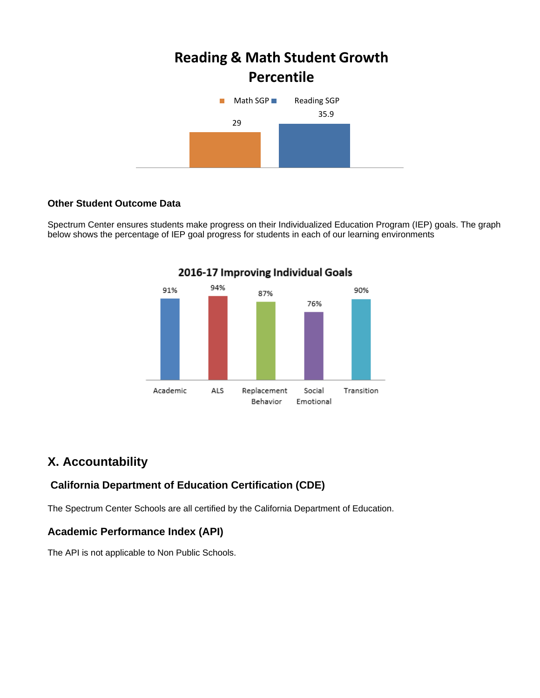# **Reading & Math Student Growth Percentile**



#### **Other Student Outcome Data**

Spectrum Center ensures students make progress on their Individualized Education Program (IEP) goals. The graph below shows the percentage of IEP goal progress for students in each of our learning environments



**2016-17 Improving Individual Goals** 

## **X. Accountability**

## **California Department of Education Certification (CDE)**

The Spectrum Center Schools are all certified by the California Department of Education.

## **Academic Performance Index (API)**

The API is not applicable to Non Public Schools.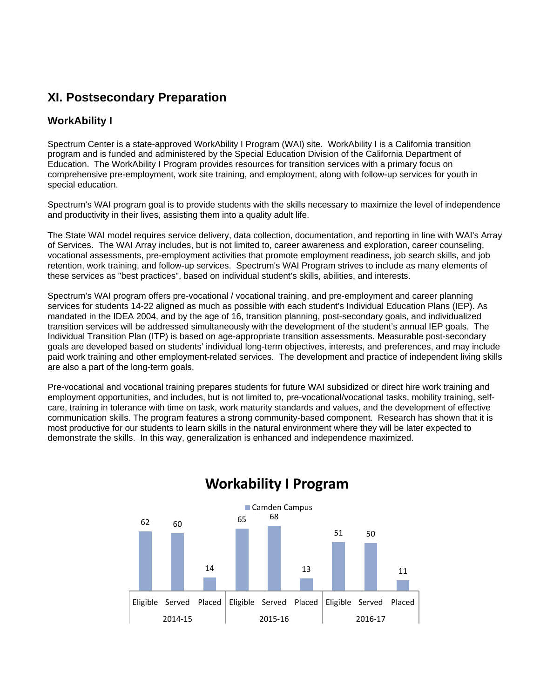## **XI. Postsecondary Preparation**

## **WorkAbility I**

Spectrum Center is a state-approved WorkAbility I Program (WAI) site. WorkAbility I is a California transition program and is funded and administered by the Special Education Division of the California Department of Education. The WorkAbility I Program provides resources for transition services with a primary focus on comprehensive pre-employment, work site training, and employment, along with follow-up services for youth in special education.

Spectrum's WAI program goal is to provide students with the skills necessary to maximize the level of independence and productivity in their lives, assisting them into a quality adult life.

The State WAI model requires service delivery, data collection, documentation, and reporting in line with WAI's Array of Services. The WAI Array includes, but is not limited to, career awareness and exploration, career counseling, vocational assessments, pre-employment activities that promote employment readiness, job search skills, and job retention, work training, and follow-up services. Spectrum's WAI Program strives to include as many elements of these services as "best practices", based on individual student's skills, abilities, and interests.

Spectrum's WAI program offers pre-vocational / vocational training, and pre-employment and career planning services for students 14-22 aligned as much as possible with each student's Individual Education Plans (IEP). As mandated in the IDEA 2004, and by the age of 16, transition planning, post-secondary goals, and individualized transition services will be addressed simultaneously with the development of the student's annual IEP goals. The Individual Transition Plan (ITP) is based on age-appropriate transition assessments. Measurable post-secondary goals are developed based on students' individual long-term objectives, interests, and preferences, and may include paid work training and other employment-related services. The development and practice of independent living skills are also a part of the long-term goals.

Pre-vocational and vocational training prepares students for future WAI subsidized or direct hire work training and employment opportunities, and includes, but is not limited to, pre-vocational/vocational tasks, mobility training, selfcare, training in tolerance with time on task, work maturity standards and values, and the development of effective communication skills. The program features a strong community-based component. Research has shown that it is most productive for our students to learn skills in the natural environment where they will be later expected to demonstrate the skills. In this way, generalization is enhanced and independence maximized.



## **Workability I Program**